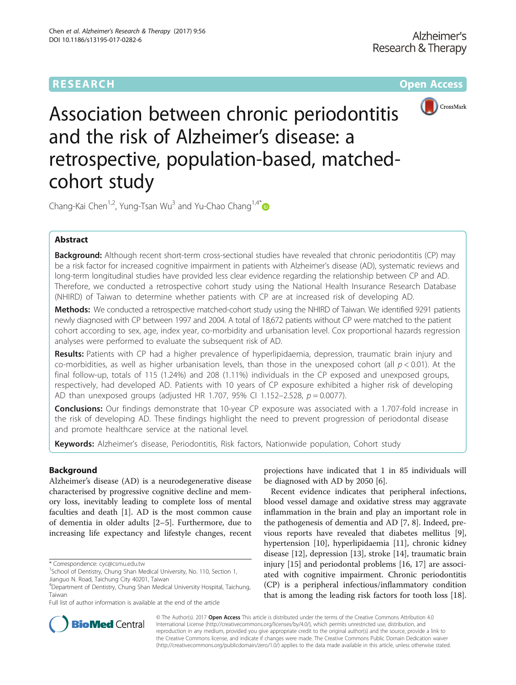# **RESEARCH CHE Open Access**



Association between chronic periodontitis and the risk of Alzheimer's disease: a retrospective, population-based, matchedcohort study

Chang-Kai Chen<sup>1,2</sup>, Yung-Tsan Wu<sup>3</sup> and Yu-Chao Chang<sup>1,4[\\*](http://orcid.org/0000-0001-9731-2577)</sup>

### Abstract

Background: Although recent short-term cross-sectional studies have revealed that chronic periodontitis (CP) may be a risk factor for increased cognitive impairment in patients with Alzheimer's disease (AD), systematic reviews and long-term longitudinal studies have provided less clear evidence regarding the relationship between CP and AD. Therefore, we conducted a retrospective cohort study using the National Health Insurance Research Database (NHIRD) of Taiwan to determine whether patients with CP are at increased risk of developing AD.

Methods: We conducted a retrospective matched-cohort study using the NHIRD of Taiwan. We identified 9291 patients newly diagnosed with CP between 1997 and 2004. A total of 18,672 patients without CP were matched to the patient cohort according to sex, age, index year, co-morbidity and urbanisation level. Cox proportional hazards regression analyses were performed to evaluate the subsequent risk of AD.

Results: Patients with CP had a higher prevalence of hyperlipidaemia, depression, traumatic brain injury and co-morbidities, as well as higher urbanisation levels, than those in the unexposed cohort (all  $p < 0.01$ ). At the final follow-up, totals of 115 (1.24%) and 208 (1.11%) individuals in the CP exposed and unexposed groups, respectively, had developed AD. Patients with 10 years of CP exposure exhibited a higher risk of developing AD than unexposed groups (adjusted HR 1.707, 95% CI 1.152-2.528,  $p = 0.0077$ ).

**Conclusions:** Our findings demonstrate that 10-year CP exposure was associated with a 1.707-fold increase in the risk of developing AD. These findings highlight the need to prevent progression of periodontal disease and promote healthcare service at the national level.

Keywords: Alzheimer's disease, Periodontitis, Risk factors, Nationwide population, Cohort study

### Background

Alzheimer's disease (AD) is a neurodegenerative disease characterised by progressive cognitive decline and memory loss, inevitably leading to complete loss of mental faculties and death [\[1](#page-5-0)]. AD is the most common cause of dementia in older adults [[2](#page-5-0)–[5](#page-5-0)]. Furthermore, due to increasing life expectancy and lifestyle changes, recent

Full list of author information is available at the end of the article

projections have indicated that 1 in 85 individuals will be diagnosed with AD by 2050 [[6\]](#page-5-0).

Recent evidence indicates that peripheral infections, blood vessel damage and oxidative stress may aggravate inflammation in the brain and play an important role in the pathogenesis of dementia and AD [[7](#page-5-0), [8](#page-5-0)]. Indeed, previous reports have revealed that diabetes mellitus [\[9](#page-5-0)], hypertension [\[10\]](#page-5-0), hyperlipidaemia [\[11\]](#page-5-0), chronic kidney disease [[12](#page-5-0)], depression [[13](#page-5-0)], stroke [[14\]](#page-5-0), traumatic brain injury [[15\]](#page-5-0) and periodontal problems [[16, 17\]](#page-5-0) are associated with cognitive impairment. Chronic periodontitis (CP) is a peripheral infectious/inflammatory condition that is among the leading risk factors for tooth loss [\[18](#page-5-0)].



© The Author(s). 2017 **Open Access** This article is distributed under the terms of the Creative Commons Attribution 4.0 International License [\(http://creativecommons.org/licenses/by/4.0/](http://creativecommons.org/licenses/by/4.0/)), which permits unrestricted use, distribution, and reproduction in any medium, provided you give appropriate credit to the original author(s) and the source, provide a link to the Creative Commons license, and indicate if changes were made. The Creative Commons Public Domain Dedication waiver [\(http://creativecommons.org/publicdomain/zero/1.0/](http://creativecommons.org/publicdomain/zero/1.0/)) applies to the data made available in this article, unless otherwise stated.

<sup>\*</sup> Correspondence: [cyc@csmu.edu.tw](mailto:cyc@csmu.edu.tw) <sup>1</sup>

<sup>&</sup>lt;sup>1</sup>School of Dentistry, Chung Shan Medical University, No. 110, Section 1, Jianguo N. Road, Taichung City 40201, Taiwan

<sup>4</sup> Department of Dentistry, Chung Shan Medical University Hospital, Taichung, Taiwan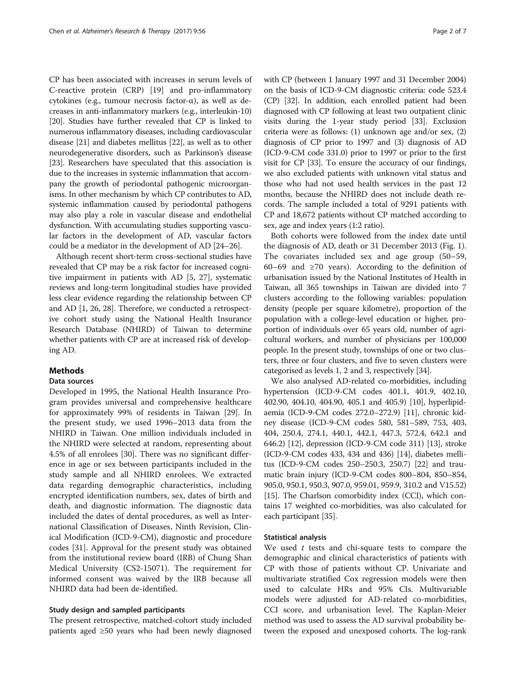CP has been associated with increases in serum levels of C-reactive protein (CRP) [\[19](#page-5-0)] and pro-inflammatory cytokines (e.g., tumour necrosis factor-α), as well as decreases in anti-inflammatory markers (e.g., interleukin-10) [[20](#page-6-0)]. Studies have further revealed that CP is linked to numerous inflammatory diseases, including cardiovascular disease [\[21\]](#page-6-0) and diabetes mellitus [\[22\]](#page-6-0), as well as to other neurodegenerative disorders, such as Parkinson's disease [[23](#page-6-0)]. Researchers have speculated that this association is due to the increases in systemic inflammation that accompany the growth of periodontal pathogenic microorganisms. In other mechanism by which CP contributes to AD, systemic inflammation caused by periodontal pathogens may also play a role in vascular disease and endothelial dysfunction. With accumulating studies supporting vascular factors in the development of AD, vascular factors could be a mediator in the development of AD [\[24](#page-6-0)–[26](#page-6-0)].

Although recent short-term cross-sectional studies have revealed that CP may be a risk factor for increased cognitive impairment in patients with AD [\[5](#page-5-0), [27\]](#page-6-0), systematic reviews and long-term longitudinal studies have provided less clear evidence regarding the relationship between CP and AD [\[1](#page-5-0), [26, 28](#page-6-0)]. Therefore, we conducted a retrospective cohort study using the National Health Insurance Research Database (NHIRD) of Taiwan to determine whether patients with CP are at increased risk of developing AD.

### **Methods**

#### Data sources

Developed in 1995, the National Health Insurance Program provides universal and comprehensive healthcare for approximately 99% of residents in Taiwan [[29\]](#page-6-0). In the present study, we used 1996–2013 data from the NHIRD in Taiwan. One million individuals included in the NHIRD were selected at random, representing about 4.5% of all enrolees [[30\]](#page-6-0). There was no significant difference in age or sex between participants included in the study sample and all NHIRD enrolees. We extracted data regarding demographic characteristics, including encrypted identification numbers, sex, dates of birth and death, and diagnostic information. The diagnostic data included the dates of dental procedures, as well as International Classification of Diseases, Ninth Revision, Clinical Modification (ICD-9-CM), diagnostic and procedure codes [\[31](#page-6-0)]. Approval for the present study was obtained from the institutional review board (IRB) of Chung Shan Medical University (CS2-15071). The requirement for informed consent was waived by the IRB because all NHIRD data had been de-identified.

### Study design and sampled participants

The present retrospective, matched-cohort study included patients aged ≥50 years who had been newly diagnosed with CP (between 1 January 1997 and 31 December 2004) on the basis of ICD-9-CM diagnostic criteria: code 523.4 (CP) [\[32\]](#page-6-0). In addition, each enrolled patient had been diagnosed with CP following at least two outpatient clinic visits during the 1-year study period [\[33](#page-6-0)]. Exclusion criteria were as follows: (1) unknown age and/or sex, (2) diagnosis of CP prior to 1997 and (3) diagnosis of AD (ICD-9-CM code 331.0) prior to 1997 or prior to the first visit for CP [[33\]](#page-6-0). To ensure the accuracy of our findings, we also excluded patients with unknown vital status and those who had not used health services in the past 12 months, because the NHIRD does not include death records. The sample included a total of 9291 patients with CP and 18,672 patients without CP matched according to sex, age and index years (1:2 ratio).

Both cohorts were followed from the index date until the diagnosis of AD, death or 31 December 2013 (Fig. [1](#page-2-0)). The covariates included sex and age group (50–59, 60–69 and ≥70 years). According to the definition of urbanisation issued by the National Institutes of Health in Taiwan, all 365 townships in Taiwan are divided into 7 clusters according to the following variables: population density (people per square kilometre), proportion of the population with a college-level education or higher, proportion of individuals over 65 years old, number of agricultural workers, and number of physicians per 100,000 people. In the present study, townships of one or two clusters, three or four clusters, and five to seven clusters were categorised as levels 1, 2 and 3, respectively [\[34](#page-6-0)].

We also analysed AD-related co-morbidities, including hypertension (ICD-9-CM codes 401.1, 401.9, 402.10, 402.90, 404.10, 404.90, 405.1 and 405.9) [\[10\]](#page-5-0), hyperlipidaemia (ICD-9-CM codes 272.0–272.9) [\[11\]](#page-5-0), chronic kidney disease (ICD-9-CM codes 580, 581–589, 753, 403, 404, 250.4, 274.1, 440.1, 442.1, 447.3, 572.4, 642.1 and 646.2) [[12](#page-5-0)], depression (ICD-9-CM code 311) [[13\]](#page-5-0), stroke (ICD-9-CM codes 433, 434 and 436) [\[14\]](#page-5-0), diabetes mellitus (ICD-9-CM codes 250–250.3, 250.7) [[22](#page-6-0)] and traumatic brain injury (ICD-9-CM codes 800–804, 850–854, 905.0, 950.1, 950.3, 907.0, 959.01, 959.9, 310.2 and V15.52) [[15](#page-5-0)]. The Charlson comorbidity index (CCI), which contains 17 weighted co-morbidities, was also calculated for each participant [\[35](#page-6-0)].

#### Statistical analysis

We used  $t$  tests and chi-square tests to compare the demographic and clinical characteristics of patients with CP with those of patients without CP. Univariate and multivariate stratified Cox regression models were then used to calculate HRs and 95% CIs. Multivariable models were adjusted for AD-related co-morbidities, CCI score, and urbanisation level. The Kaplan-Meier method was used to assess the AD survival probability between the exposed and unexposed cohorts. The log-rank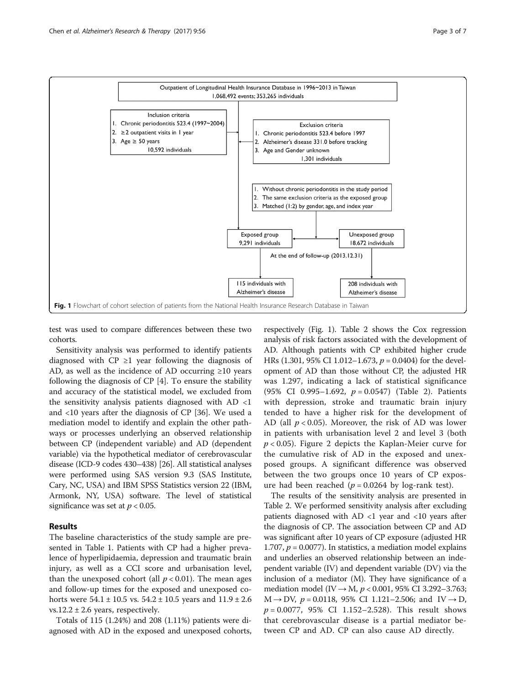

<span id="page-2-0"></span>

test was used to compare differences between these two cohorts.

Sensitivity analysis was performed to identify patients diagnosed with  $CP \geq 1$  year following the diagnosis of AD, as well as the incidence of AD occurring  $\geq 10$  years following the diagnosis of CP [\[4](#page-5-0)]. To ensure the stability and accuracy of the statistical model, we excluded from the sensitivity analysis patients diagnosed with AD <1 and <10 years after the diagnosis of CP [[36](#page-6-0)]. We used a mediation model to identify and explain the other pathways or processes underlying an observed relationship between CP (independent variable) and AD (dependent variable) via the hypothetical mediator of cerebrovascular disease (ICD-9 codes 430–438) [[26](#page-6-0)]. All statistical analyses were performed using SAS version 9.3 (SAS Institute, Cary, NC, USA) and IBM SPSS Statistics version 22 (IBM, Armonk, NY, USA) software. The level of statistical significance was set at  $p < 0.05$ .

### Results

The baseline characteristics of the study sample are presented in Table [1](#page-3-0). Patients with CP had a higher prevalence of hyperlipidaemia, depression and traumatic brain injury, as well as a CCI score and urbanisation level, than the unexposed cohort (all  $p < 0.01$ ). The mean ages and follow-up times for the exposed and unexposed cohorts were  $54.1 \pm 10.5$  vs.  $54.2 \pm 10.5$  years and  $11.9 \pm 2.6$ vs.12.2  $\pm$  2.6 years, respectively.

Totals of 115 (1.24%) and 208 (1.11%) patients were diagnosed with AD in the exposed and unexposed cohorts, respectively (Fig. 1). Table [2](#page-4-0) shows the Cox regression analysis of risk factors associated with the development of AD. Although patients with CP exhibited higher crude HRs (1.301, 95% CI 1.012–1.673,  $p = 0.0404$ ) for the development of AD than those without CP, the adjusted HR was 1.297, indicating a lack of statistical significance (95% CI 0.995-1.692,  $p = 0.0547$ ) (Table [2\)](#page-4-0). Patients with depression, stroke and traumatic brain injury tended to have a higher risk for the development of AD (all  $p < 0.05$ ). Moreover, the risk of AD was lower in patients with urbanisation level 2 and level 3 (both  $p < 0.05$ ). Figure [2](#page-4-0) depicts the Kaplan-Meier curve for the cumulative risk of AD in the exposed and unexposed groups. A significant difference was observed between the two groups once 10 years of CP exposure had been reached ( $p = 0.0264$  by log-rank test).

The results of the sensitivity analysis are presented in Table [2](#page-4-0). We performed sensitivity analysis after excluding patients diagnosed with  $AD < 1$  year and  $< 10$  years after the diagnosis of CP. The association between CP and AD was significant after 10 years of CP exposure (adjusted HR 1.707,  $p = 0.0077$ ). In statistics, a mediation model explains and underlies an observed relationship between an independent variable (IV) and dependent variable (DV) via the inclusion of a mediator (M). They have significance of a mediation model (IV  $\rightarrow$  M,  $p < 0.001$ , 95% CI 3.292-3.763;  $M \rightarrow DV$ ,  $p = 0.0118$ , 95% CI 1.121–2.506; and IV  $\rightarrow D$ ,  $p = 0.0077$ , 95% CI 1.152-2.528). This result shows that cerebrovascular disease is a partial mediator between CP and AD. CP can also cause AD directly.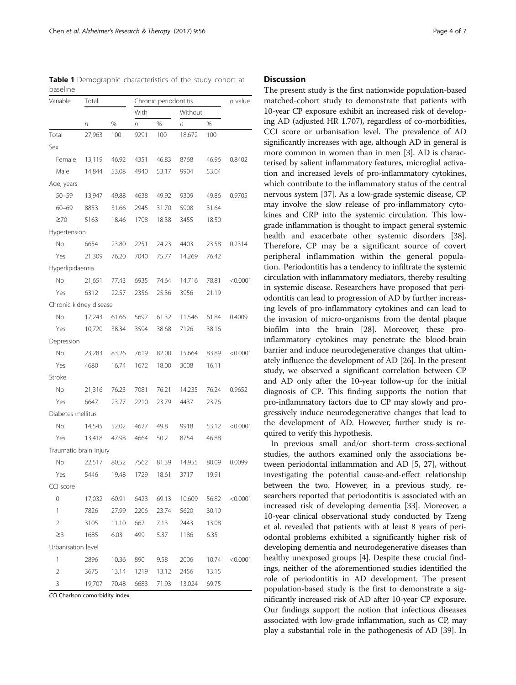<span id="page-3-0"></span>Table 1 Demographic characteristics of the study cohort at baseline

| Variable               | Total  |       | Chronic periodontitis |       |         |       | p value  |  |
|------------------------|--------|-------|-----------------------|-------|---------|-------|----------|--|
|                        |        |       | With                  |       | Without |       |          |  |
|                        | n      | %     | n                     | %     | n       | $\%$  |          |  |
| Total                  | 27,963 | 100   | 9291                  | 100   | 18,672  | 100   |          |  |
| Sex                    |        |       |                       |       |         |       |          |  |
| Female                 | 13,119 | 46.92 | 4351                  | 46.83 | 8768    | 46.96 | 0.8402   |  |
| Male                   | 14,844 | 53.08 | 4940                  | 53.17 | 9904    | 53.04 |          |  |
| Age, years             |        |       |                       |       |         |       |          |  |
| $50 - 59$              | 13,947 | 49.88 | 4638                  | 49.92 | 9309    | 49.86 | 0.9705   |  |
| $60 - 69$              | 8853   | 31.66 | 2945                  | 31.70 | 5908    | 31.64 |          |  |
| $\geq 70$              | 5163   | 18.46 | 1708                  | 18.38 | 3455    | 18.50 |          |  |
| Hypertension           |        |       |                       |       |         |       |          |  |
| No                     | 6654   | 23.80 | 2251                  | 24.23 | 4403    | 23.58 | 0.2314   |  |
| Yes                    | 21,309 | 76.20 | 7040                  | 75.77 | 14,269  | 76.42 |          |  |
| Hyperlipidaemia        |        |       |                       |       |         |       |          |  |
| No                     | 21,651 | 77.43 | 6935                  | 74.64 | 14,716  | 78.81 | < 0.0001 |  |
| Yes                    | 6312   | 22.57 | 2356                  | 25.36 | 3956    | 21.19 |          |  |
| Chronic kidney disease |        |       |                       |       |         |       |          |  |
| No                     | 17,243 | 61.66 | 5697                  | 61.32 | 11,546  | 61.84 | 0.4009   |  |
| Yes                    | 10,720 | 38.34 | 3594                  | 38.68 | 7126    | 38.16 |          |  |
| Depression             |        |       |                       |       |         |       |          |  |
| No                     | 23,283 | 83.26 | 7619                  | 82.00 | 15,664  | 83.89 | < 0.0001 |  |
| Yes                    | 4680   | 16.74 | 1672                  | 18.00 | 3008    | 16.11 |          |  |
| Stroke                 |        |       |                       |       |         |       |          |  |
| No                     | 21,316 | 76.23 | 7081                  | 76.21 | 14,235  | 76.24 | 0.9652   |  |
| Yes                    | 6647   | 23.77 | 2210                  | 23.79 | 4437    | 23.76 |          |  |
| Diabetes mellitus      |        |       |                       |       |         |       |          |  |
| No                     | 14,545 | 52.02 | 4627                  | 49.8  | 9918    | 53.12 | < 0.0001 |  |
| Yes                    | 13,418 | 47.98 | 4664                  | 50.2  | 8754    | 46.88 |          |  |
| Traumatic brain injury |        |       |                       |       |         |       |          |  |
| No                     | 22,517 | 80.52 | 7562                  | 81.39 | 14,955  | 80.09 | 0.0099   |  |
| Yes                    | 5446   | 19.48 | 1729                  | 18.61 | 3717    | 19.91 |          |  |
| CCI score              |        |       |                       |       |         |       |          |  |
| 0                      | 17,032 | 60.91 | 6423                  | 69.13 | 10,609  | 56.82 | < 0.0001 |  |
| 1                      | 7826   | 27.99 | 2206                  | 23.74 | 5620    | 30.10 |          |  |
| $\overline{2}$         | 3105   | 11.10 | 662                   | 7.13  | 2443    | 13.08 |          |  |
| ≥3                     | 1685   | 6.03  | 499                   | 5.37  | 1186    | 6.35  |          |  |
| Urbanisation level     |        |       |                       |       |         |       |          |  |
| 1                      | 2896   | 10.36 | 890                   | 9.58  | 2006    | 10.74 | < 0.0001 |  |
| $\overline{2}$         | 3675   | 13.14 | 1219                  | 13.12 | 2456    | 13.15 |          |  |
| 3                      | 19,707 | 70.48 | 6683                  | 71.93 | 13,024  | 69.75 |          |  |

CCI Charlson comorbidity index

### **Discussion**

The present study is the first nationwide population-based matched-cohort study to demonstrate that patients with 10-year CP exposure exhibit an increased risk of developing AD (adjusted HR 1.707), regardless of co-morbidities, CCI score or urbanisation level. The prevalence of AD significantly increases with age, although AD in general is more common in women than in men [\[3\]](#page-5-0). AD is characterised by salient inflammatory features, microglial activation and increased levels of pro-inflammatory cytokines, which contribute to the inflammatory status of the central nervous system [\[37](#page-6-0)]. As a low-grade systemic disease, CP may involve the slow release of pro-inflammatory cytokines and CRP into the systemic circulation. This lowgrade inflammation is thought to impact general systemic health and exacerbate other systemic disorders [[38](#page-6-0)]. Therefore, CP may be a significant source of covert peripheral inflammation within the general population. Periodontitis has a tendency to infiltrate the systemic circulation with inflammatory mediators, thereby resulting in systemic disease. Researchers have proposed that periodontitis can lead to progression of AD by further increasing levels of pro-inflammatory cytokines and can lead to the invasion of micro-organisms from the dental plaque biofilm into the brain [[28](#page-6-0)]. Moreover, these proinflammatory cytokines may penetrate the blood-brain barrier and induce neurodegenerative changes that ultimately influence the development of AD [\[26\]](#page-6-0). In the present study, we observed a significant correlation between CP and AD only after the 10-year follow-up for the initial diagnosis of CP. This finding supports the notion that pro-inflammatory factors due to CP may slowly and progressively induce neurodegenerative changes that lead to the development of AD. However, further study is required to verify this hypothesis.

In previous small and/or short-term cross-sectional studies, the authors examined only the associations between periodontal inflammation and AD [\[5](#page-5-0), [27\]](#page-6-0), without investigating the potential cause-and-effect relationship between the two. However, in a previous study, researchers reported that periodontitis is associated with an increased risk of developing dementia [\[33\]](#page-6-0). Moreover, a 10-year clinical observational study conducted by Tzeng et al. revealed that patients with at least 8 years of periodontal problems exhibited a significantly higher risk of developing dementia and neurodegenerative diseases than healthy unexposed groups [[4](#page-5-0)]. Despite these crucial findings, neither of the aforementioned studies identified the role of periodontitis in AD development. The present population-based study is the first to demonstrate a significantly increased risk of AD after 10-year CP exposure. Our findings support the notion that infectious diseases associated with low-grade inflammation, such as CP, may play a substantial role in the pathogenesis of AD [[39](#page-6-0)]. In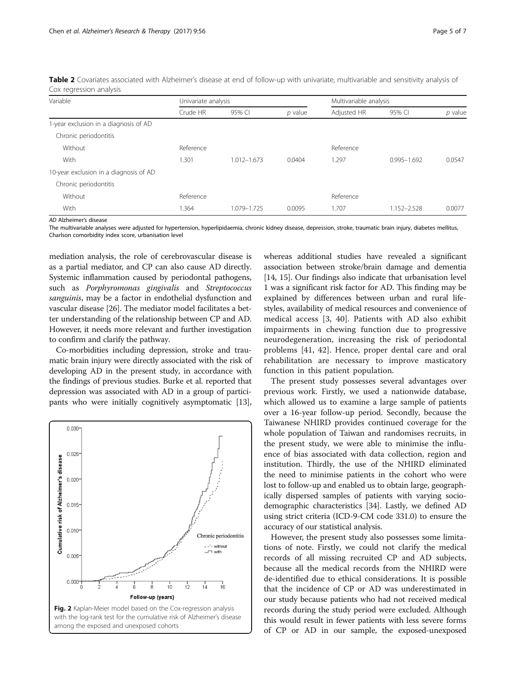| Variable                               | Univariate analysis |             | Multivariable analysis |             |                 |           |
|----------------------------------------|---------------------|-------------|------------------------|-------------|-----------------|-----------|
|                                        | Crude HR            | 95% CI      | $p$ value              | Adjusted HR | 95% CI          | $p$ value |
| 1-year exclusion in a diagnosis of AD  |                     |             |                        |             |                 |           |
| Chronic periodontitis                  |                     |             |                        |             |                 |           |
| Without                                | Reference           |             |                        | Reference   |                 |           |
| With                                   | 1.301               | 1.012-1.673 | 0.0404                 | 1.297       | $0.995 - 1.692$ | 0.0547    |
| 10-year exclusion in a diagnosis of AD |                     |             |                        |             |                 |           |
| Chronic periodontitis                  |                     |             |                        |             |                 |           |
| Without                                | Reference           |             |                        | Reference   |                 |           |
| <b>With</b>                            | 1.364               | 1.079-1.725 | 0.0095                 | 1.707       | 1.152-2.528     | 0.0077    |

<span id="page-4-0"></span>Table 2 Covariates associated with Alzheimer's disease at end of follow-up with univariate, multivariable and sensitivity analysis of Cox regression analysis

AD Alzheimer's disease

The multivariable analyses were adjusted for hypertension, hyperlipidaemia, chronic kidney disease, depression, stroke, traumatic brain injury, diabetes mellitus, Charlson comorbidity index score, urbanisation level

mediation analysis, the role of cerebrovascular disease is as a partial mediator, and CP can also cause AD directly. Systemic inflammation caused by periodontal pathogens, such as Porphyromonas gingivalis and Streptococcus sanguinis, may be a factor in endothelial dysfunction and vascular disease [[26](#page-6-0)]. The mediator model facilitates a better understanding of the relationship between CP and AD. However, it needs more relevant and further investigation to confirm and clarify the pathway.

Co-morbidities including depression, stroke and traumatic brain injury were directly associated with the risk of developing AD in the present study, in accordance with the findings of previous studies. Burke et al. reported that depression was associated with AD in a group of participants who were initially cognitively asymptomatic [[13](#page-5-0)],



whereas additional studies have revealed a significant association between stroke/brain damage and dementia [[14](#page-5-0), [15](#page-5-0)]. Our findings also indicate that urbanisation level 1 was a significant risk factor for AD. This finding may be explained by differences between urban and rural lifestyles, availability of medical resources and convenience of medical access [[3,](#page-5-0) [40\]](#page-6-0). Patients with AD also exhibit impairments in chewing function due to progressive neurodegeneration, increasing the risk of periodontal problems [[41, 42](#page-6-0)]. Hence, proper dental care and oral rehabilitation are necessary to improve masticatory function in this patient population.

The present study possesses several advantages over previous work. Firstly, we used a nationwide database, which allowed us to examine a large sample of patients over a 16-year follow-up period. Secondly, because the Taiwanese NHIRD provides continued coverage for the whole population of Taiwan and randomises recruits, in the present study, we were able to minimise the influence of bias associated with data collection, region and institution. Thirdly, the use of the NHIRD eliminated the need to minimise patients in the cohort who were lost to follow-up and enabled us to obtain large, geographically dispersed samples of patients with varying sociodemographic characteristics [[34](#page-6-0)]. Lastly, we defined AD using strict criteria (ICD-9-CM code 331.0) to ensure the accuracy of our statistical analysis.

However, the present study also possesses some limitations of note. Firstly, we could not clarify the medical records of all missing recruited CP and AD subjects, because all the medical records from the NHIRD were de-identified due to ethical considerations. It is possible that the incidence of CP or AD was underestimated in our study because patients who had not received medical records during the study period were excluded. Although this would result in fewer patients with less severe forms of CP or AD in our sample, the exposed-unexposed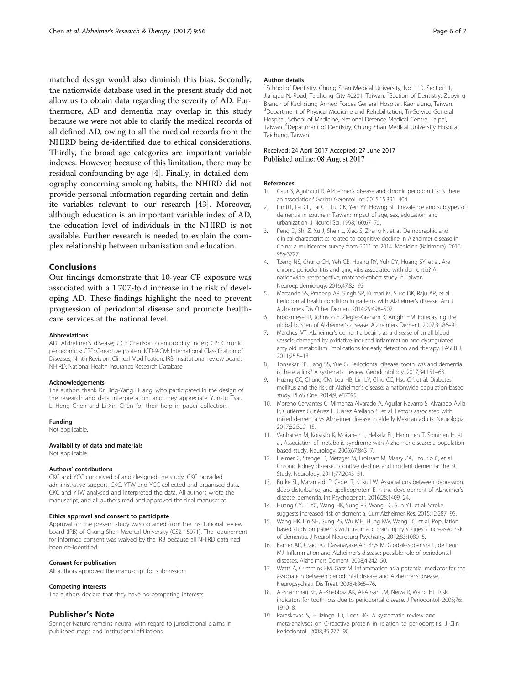<span id="page-5-0"></span>matched design would also diminish this bias. Secondly, the nationwide database used in the present study did not allow us to obtain data regarding the severity of AD. Furthermore, AD and dementia may overlap in this study because we were not able to clarify the medical records of all defined AD, owing to all the medical records from the NHIRD being de-identified due to ethical considerations. Thirdly, the broad age categories are important variable indexes. However, because of this limitation, there may be residual confounding by age [4]. Finally, in detailed demography concerning smoking habits, the NHIRD did not provide personal information regarding certain and definite variables relevant to our research [[43](#page-6-0)]. Moreover, although education is an important variable index of AD, the education level of individuals in the NHIRD is not available. Further research is needed to explain the complex relationship between urbanisation and education.

### Conclusions

Our findings demonstrate that 10-year CP exposure was associated with a 1.707-fold increase in the risk of developing AD. These findings highlight the need to prevent progression of periodontal disease and promote healthcare services at the national level.

#### Abbreviations

AD: Alzheimer's disease; CCI: Charlson co-morbidity index; CP: Chronic periodontitis; CRP: C-reactive protein; ICD-9-CM: International Classification of Diseases, Ninth Revision, Clinical Modification; IRB: Institutional review board; NHIRD: National Health Insurance Research Database

#### Acknowledgements

The authors thank Dr. Jing-Yang Huang, who participated in the design of the research and data interpretation, and they appreciate Yun-Ju Tsai, Li-Heng Chen and Li-Xin Chen for their help in paper collection.

#### Funding

Not applicable.

Availability of data and materials Not applicable.

#### Authors' contributions

CKC and YCC conceived of and designed the study. CKC provided administrative support. CKC, YTW and YCC collected and organised data. CKC and YTW analysed and interpreted the data. All authors wrote the manuscript, and all authors read and approved the final manuscript.

#### Ethics approval and consent to participate

Approval for the present study was obtained from the institutional review board (IRB) of Chung Shan Medical University (CS2-15071). The requirement for informed consent was waived by the IRB because all NHIRD data had been de-identified.

#### Consent for publication

All authors approved the manuscript for submission.

#### Competing interests

The authors declare that they have no competing interests.

#### Publisher's Note

Springer Nature remains neutral with regard to jurisdictional claims in published maps and institutional affiliations.

#### Author details

<sup>1</sup>School of Dentistry, Chung Shan Medical University, No. 110, Section 1, Jianguo N. Road, Taichung City 40201, Taiwan. <sup>2</sup>Section of Dentistry, Zuoying Branch of Kaohsiung Armed Forces General Hospital, Kaohsiung, Taiwan. <sup>3</sup>Department of Physical Medicine and Rehabilitation, Tri-Service General Hospital, School of Medicine, National Defence Medical Centre, Taipei, Taiwan. <sup>4</sup>Department of Dentistry, Chung Shan Medical University Hospital Taichung, Taiwan.

### Received: 24 April 2017 Accepted: 27 June 2017 Published online: 08 August 2017

#### References

- 1. Gaur S, Agnihotri R. Alzheimer's disease and chronic periodontitis: is there an association? Geriatr Gerontol Int. 2015;15:391–404.
- 2. Lin RT, Lai CL, Tai CT, Liu CK, Yen YY, Howng SL. Prevalence and subtypes of dementia in southern Taiwan: impact of age, sex, education, and urbanization. J Neurol Sci. 1998;160:67–75.
- 3. Peng D, Shi Z, Xu J, Shen L, Xiao S, Zhang N, et al. Demographic and clinical characteristics related to cognitive decline in Alzheimer disease in China: a multicenter survey from 2011 to 2014. Medicine (Baltimore). 2016; 95:e3727.
- 4. Tzeng NS, Chung CH, Yeh CB, Huang RY, Yuh DY, Huang SY, et al. Are chronic periodontitis and gingivitis associated with dementia? A nationwide, retrospective, matched-cohort study in Taiwan. Neuroepidemiology. 2016;47:82–93.
- 5. Martande SS, Pradeep AR, Singh SP, Kumari M, Suke DK, Raju AP, et al. Periodontal health condition in patients with Alzheimer's disease. Am J Alzheimers Dis Other Demen. 2014;29:498–502.
- 6. Brookmeyer R, Johnson E, Ziegler-Graham K, Arrighi HM. Forecasting the global burden of Alzheimer's disease. Alzheimers Dement. 2007;3:186–91.
- 7. Marchesi VT. Alzheimer's dementia begins as a disease of small blood vessels, damaged by oxidative-induced inflammation and dysregulated amyloid metabolism: implications for early detection and therapy. FASEB J. 2011;25:5–13.
- 8. Tonsekar PP, Jiang SS, Yue G. Periodontal disease, tooth loss and dementia: is there a link? A systematic review. Gerodontology. 2017;34:151–63.
- 9. Huang CC, Chung CM, Leu HB, Lin LY, Chiu CC, Hsu CY, et al. Diabetes mellitus and the risk of Alzheimer's disease: a nationwide population-based study. PLoS One. 2014;9, e87095.
- 10. Moreno Cervantes C, Mimenza Alvarado A, Aguilar Navarro S, Alvarado Ávila P, Gutiérrez Gutiérrez L, Juárez Arellano S, et al. Factors associated with mixed dementia vs Alzheimer disease in elderly Mexican adults. Neurologia. 2017;32:309–15.
- 11. Vanhanen M, Koivisto K, Moilanen L, Helkala EL, Hanninen T, Soininen H, et al. Association of metabolic syndrome with Alzheimer disease: a populationbased study. Neurology. 2006;67:843–7.
- 12. Helmer C, Stengel B, Metzger M, Froissart M, Massy ZA, Tzourio C, et al. Chronic kidney disease, cognitive decline, and incident dementia: the 3C Study. Neurology. 2011;77:2043–51.
- 13. Burke SL, Maramaldi P, Cadet T, Kukull W. Associations between depression, sleep disturbance, and apolipoprotein E in the development of Alzheimer's disease: dementia. Int Psychogeriatr. 2016;28:1409–24.
- 14. Huang CY, Li YC, Wang HK, Sung PS, Wang LC, Sun YT, et al. Stroke suggests increased risk of dementia. Curr Alzheimer Res. 2015;12:287–95.
- 15. Wang HK, Lin SH, Sung PS, Wu MH, Hung KW, Wang LC, et al. Population based study on patients with traumatic brain injury suggests increased risk of dementia. J Neurol Neurosurg Psychiatry. 2012;83:1080–5.
- 16. Kamer AR, Craig RG, Dasanayake AP, Brys M, Glodzik-Sobanska L, de Leon MJ. Inflammation and Alzheimer's disease: possible role of periodontal diseases. Alzheimers Dement. 2008;4:242–50.
- 17. Watts A, Crimmins EM, Gatz M. Inflammation as a potential mediator for the association between periodontal disease and Alzheimer's disease. Neuropsychiatr Dis Treat. 2008;4:865–76.
- 18. Al-Shammari KF, Al-Khabbaz AK, Al-Ansari JM, Neiva R, Wang HL. Risk indicators for tooth loss due to periodontal disease. J Periodontol. 2005;76: 1910–8.
- 19. Paraskevas S, Huizinga JD, Loos BG. A systematic review and meta-analyses on C-reactive protein in relation to periodontitis. J Clin Periodontol. 2008;35:277–90.